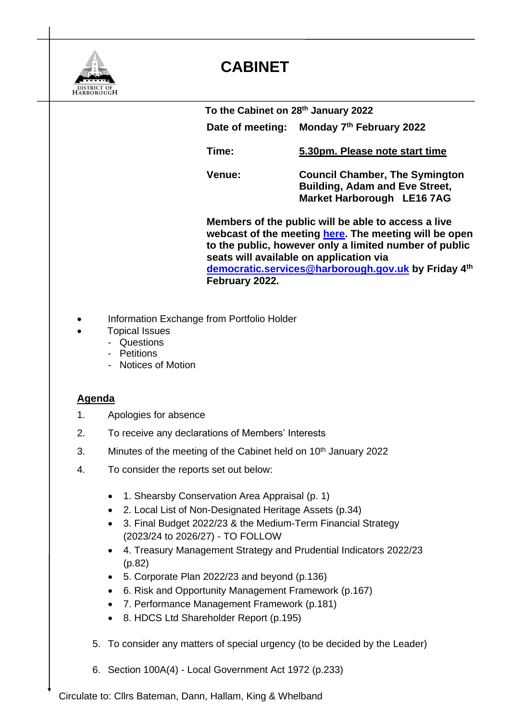

## **CABINET**

 **To the Cabinet on 28th January 2022 Date of meeting: Monday 7<sup>th</sup> February 2022 Time: 5.30pm. Please note start time Venue: Council Chamber, The Symington Building, Adam and Eve Street, Market Harborough LE16 7AG Members of the public will be able to access a live webcast of the meeting [here.](https://teams.microsoft.com/l/meetup-join/19%3ameeting_NzE5MjE3OGEtMzYzNS00MTgyLWFkODktNzAwYjQzYmRkMTI5%40thread.v2/0?context=%7b%22Tid%22%3a%2256632edb-098b-43f3-9e28-8985e98f5f89%22%2c%22Oid%22%3a%2207a620b7-746d-420c-a3a8-3a06ada600fe%22%2c%22IsBroadcastMeeting%22%3atrue%7d&btype=a&role=a) The meeting will be open to the public, however only a limited number of public seats will available on application via [democratic.services@harborough.gov.uk](mailto:democratic.services@harborough.gov.uk) by Friday 4 th February 2022.**

- Information Exchange from Portfolio Holder
- Topical Issues
	- Questions
	- Petitions
	- Notices of Motion

## **Agenda**

- 1. Apologies for absence
- 2. To receive any declarations of Members' Interests
- 3. Minutes of the meeting of the Cabinet held on 10<sup>th</sup> January 2022
- 4. To consider the reports set out below:
	- 1. Shearsby Conservation Area Appraisal (p. 1)
	- 2. Local List of Non-Designated Heritage Assets (p.34)
	- 3. Final Budget 2022/23 & the Medium-Term Financial Strategy (2023/24 to 2026/27) - TO FOLLOW
	- 4. Treasury Management Strategy and Prudential Indicators 2022/23 (p.82)
	- 5. Corporate Plan 2022/23 and beyond (p.136)
	- 6. Risk and Opportunity Management Framework (p.167)
	- 7. Performance Management Framework (p.181)
	- 8. HDCS Ltd Shareholder Report (p.195)
	- 5. To consider any matters of special urgency (to be decided by the Leader)
	- 6. Section 100A(4) Local Government Act 1972 (p.233)